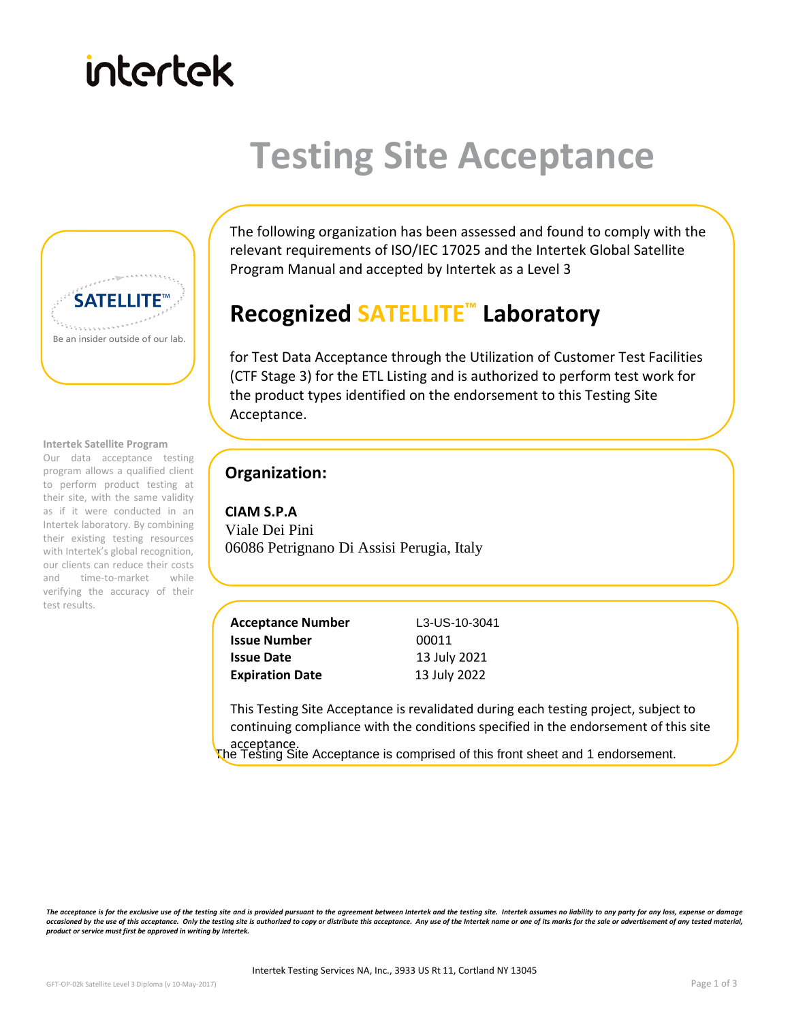# intertek

## **Testing Site Acceptance**



#### **Intertek Satellite Program**

 to perform product testing at Our data acceptance testing program allows a qualified client their site, with the same validity as if it were conducted in an Intertek laboratory. By combining their existing testing resources with Intertek's global recognition, our clients can reduce their costs and time-to-market while verifying the accuracy of their test results.

The following organization has been assessed and found to comply with the relevant requirements of ISO/IEC 17025 and the Intertek Global Satellite Program Manual and accepted by Intertek as a Level 3

### **Recognized SATELLITE™ Laboratory**

for Test Data Acceptance through the Utilization of Customer Test Facilities (CTF Stage 3) for the ETL Listing and is authorized to perform test work for the product types identified on the endorsement to this Testing Site Acceptance.

#### **Organization:**

**CIAM S.P.A**  Viale Dei Pini 06086 Petrignano Di Assisi Perugia, Italy

| <b>Acceptance Number</b> |  |
|--------------------------|--|
| <b>Issue Number</b>      |  |
| <b>Issue Date</b>        |  |
| <b>Expiration Date</b>   |  |

**Acceptance Number** L3-US-10-3041 00011 **Issue Date** 13 July 2021 **Expiration Date** 13 July 2022

This Testing Site Acceptance is revalidated during each testing project, subject to continuing compliance with the conditions specified in the endorsement of this site

acceptance.<br>The Testing Site Acceptance is comprised of this front sheet and 1 endorsement.

The acceptance is for the exclusive use of the testing site and is provided pursuant to the agreement between Intertek and the testing site. Intertek assumes no liability to any party for any loss, expense or damage occasioned by the use of this acceptance. Only the testing site is authorized to copy or distribute this acceptance. Any use of the Intertek name or one of its marks for the sale or advertisement of any tested material, *product or service must first be approved in writing by Intertek.*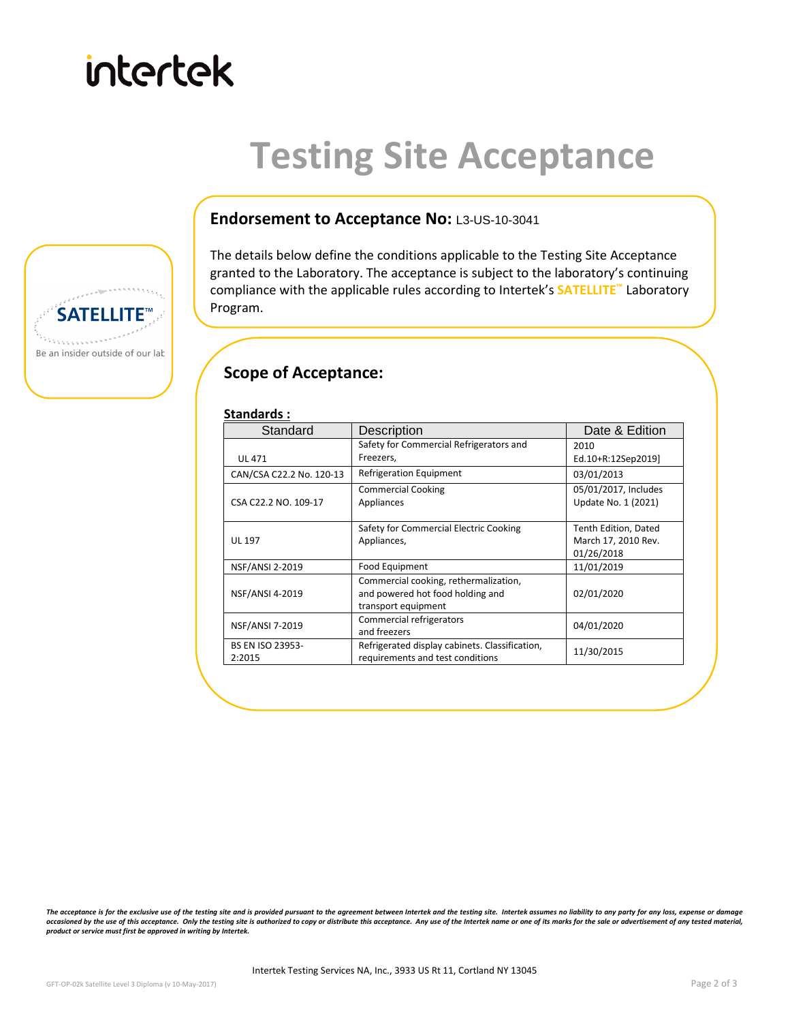

### **Testing Site Acceptance**



The details below define the conditions applicable to the Testing Site Acceptance granted to the Laboratory. The acceptance is subject to the laboratory's continuing compliance with the applicable rules according to Intertek's **SATELLITE™** Laboratory Program.

#### **Scope of Acceptance:**

| Standard                 | Description                                    | Date & Edition       |
|--------------------------|------------------------------------------------|----------------------|
|                          | Safety for Commercial Refrigerators and        | 2010                 |
| <b>UL 471</b>            | Freezers,                                      | Ed.10+R:12Sep2019]   |
| CAN/CSA C22.2 No. 120-13 | Refrigeration Equipment                        | 03/01/2013           |
|                          | <b>Commercial Cooking</b>                      | 05/01/2017, Includes |
| CSA C22.2 NO. 109-17     | Appliances                                     | Update No. 1 (2021)  |
|                          |                                                |                      |
|                          | Safety for Commercial Electric Cooking         | Tenth Edition, Dated |
| <b>UL 197</b>            | Appliances,                                    | March 17, 2010 Rev.  |
|                          |                                                | 01/26/2018           |
| NSF/ANSI 2-2019          | Food Equipment                                 | 11/01/2019           |
|                          | Commercial cooking, rethermalization,          |                      |
| <b>NSF/ANSI 4-2019</b>   | and powered hot food holding and               | 02/01/2020           |
|                          | transport equipment                            |                      |
| <b>NSF/ANSI 7-2019</b>   | Commercial refrigerators                       | 04/01/2020           |
|                          | and freezers                                   |                      |
| <b>BS EN ISO 23953-</b>  | Refrigerated display cabinets. Classification, | 11/30/2015           |
| 2:2015                   | requirements and test conditions               |                      |

The acceptance is for the exclusive use of the testing site and is provided pursuant to the agreement between Intertek and the testing site. Intertek assumes no liability to any party for any loss, expense or damage occasioned by the use of this acceptance. Only the testing site is authorized to copy or distribute this acceptance. Any use of the Intertek name or one of its marks for the sale or advertisement of any tested material, *product or service must first be approved in writing by Intertek.*